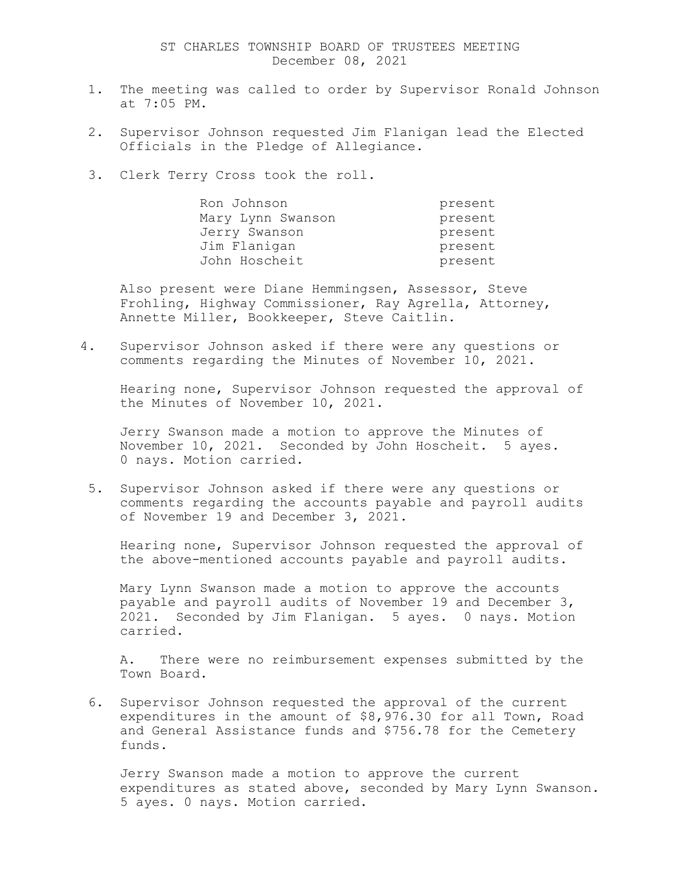- 1. The meeting was called to order by Supervisor Ronald Johnson at 7:05 PM.
- 2. Supervisor Johnson requested Jim Flanigan lead the Elected Officials in the Pledge of Allegiance.
- 3. Clerk Terry Cross took the roll.

| Ron Johnson       | present |
|-------------------|---------|
| Mary Lynn Swanson | present |
| Jerry Swanson     | present |
| Jim Flanigan      | present |
| John Hoscheit     | present |

Also present were Diane Hemmingsen, Assessor, Steve Frohling, Highway Commissioner, Ray Agrella, Attorney, Annette Miller, Bookkeeper, Steve Caitlin.

4. Supervisor Johnson asked if there were any questions or comments regarding the Minutes of November 10, 2021.

Hearing none, Supervisor Johnson requested the approval of the Minutes of November 10, 2021.

Jerry Swanson made a motion to approve the Minutes of November 10, 2021. Seconded by John Hoscheit. 5 ayes. 0 nays. Motion carried.

5. Supervisor Johnson asked if there were any questions or comments regarding the accounts payable and payroll audits of November 19 and December 3, 2021.

Hearing none, Supervisor Johnson requested the approval of the above-mentioned accounts payable and payroll audits.

Mary Lynn Swanson made a motion to approve the accounts payable and payroll audits of November 19 and December 3, 2021. Seconded by Jim Flanigan. 5 ayes. 0 nays. Motion carried.

A. There were no reimbursement expenses submitted by the Town Board.

6. Supervisor Johnson requested the approval of the current expenditures in the amount of \$8,976.30 for all Town, Road and General Assistance funds and \$756.78 for the Cemetery funds.

Jerry Swanson made a motion to approve the current expenditures as stated above, seconded by Mary Lynn Swanson. 5 ayes. 0 nays. Motion carried.